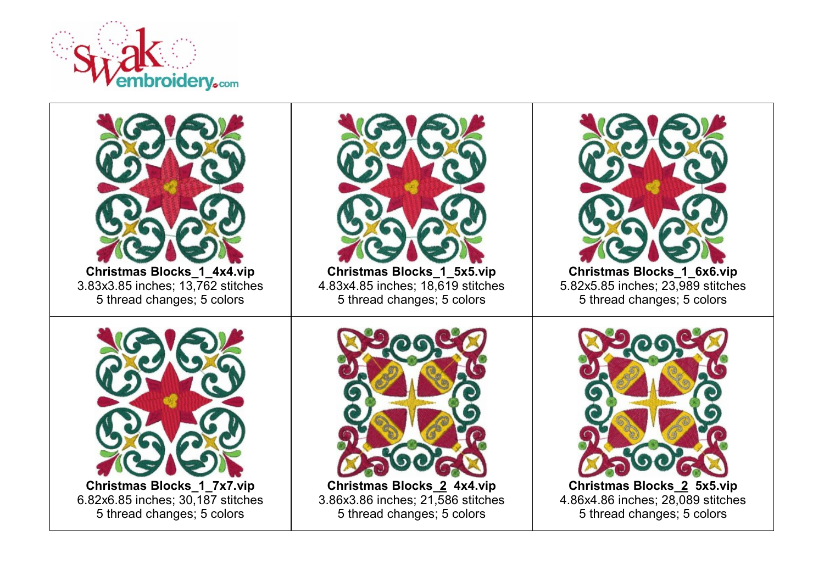

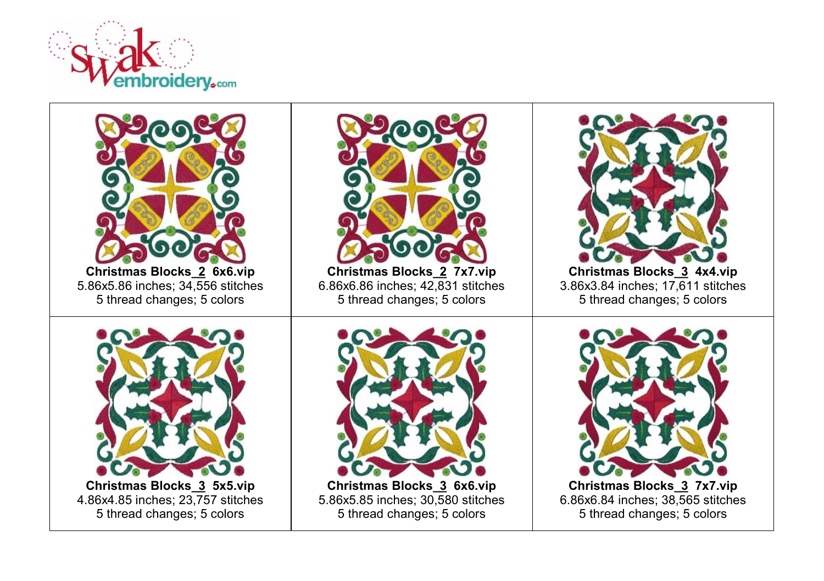

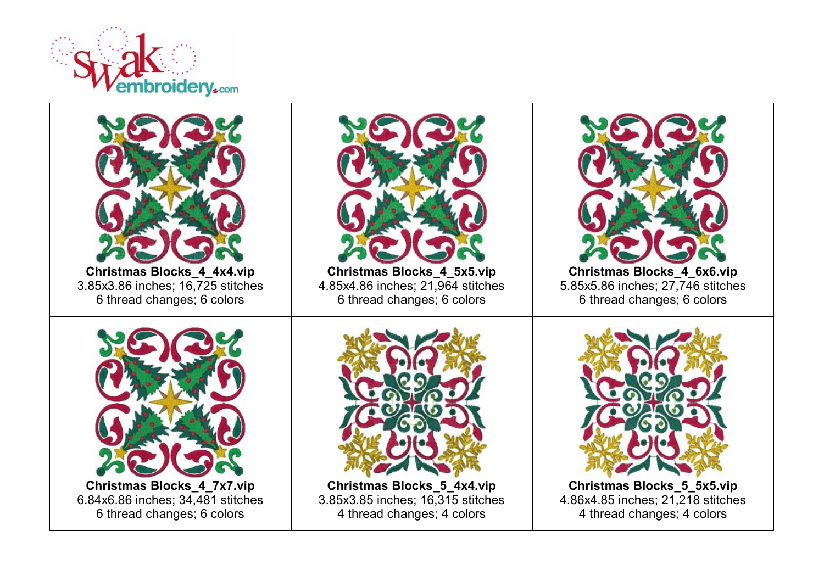